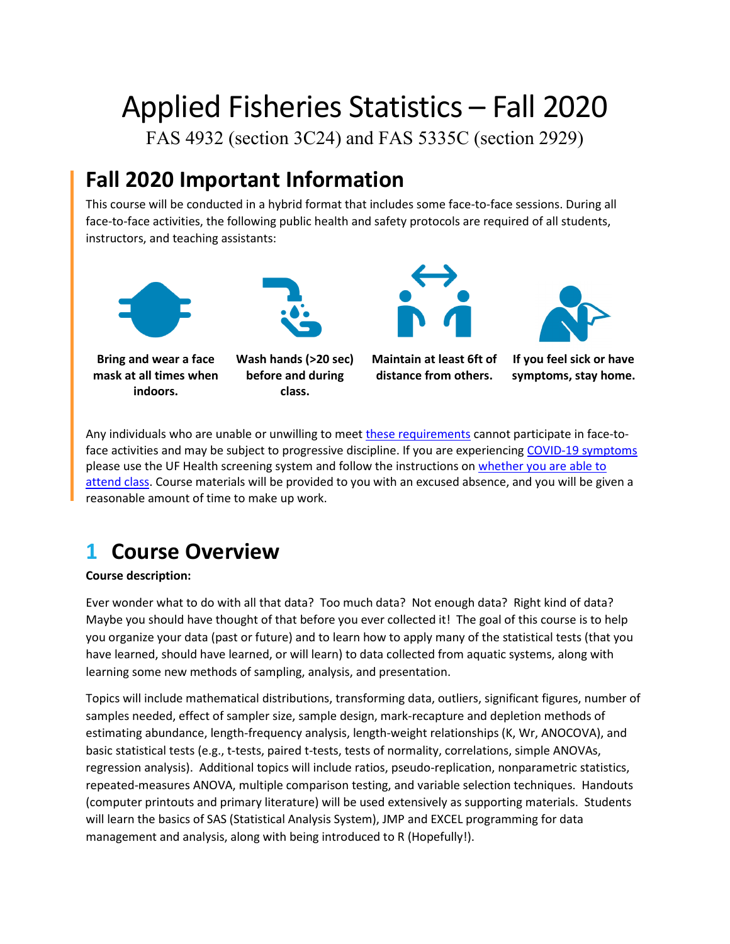# Applied Fisheries Statistics – Fall 2020

FAS 4932 (section 3C24) and FAS 5335C (section 2929)

# **Fall 2020 Important Information**

This course will be conducted in a hybrid format that includes some face-to-face sessions. During all face-to-face activities, the following public health and safety protocols are required of all students, instructors, and teaching assistants:





**Bring and wear a face mask at all times when indoors.**

**Wash hands (>20 sec) before and during class.**





**If you feel sick or have symptoms, stay home.**

Any individuals who are unable or unwilling to meet [these requirements](https://policy.ufl.edu/policy/student-behavioral-expectations-in-response-to-covid-19/) cannot participate in face-toface activities and may be subject to progressive discipline. If you are experiencing [COVID-19 symptoms](https://urldefense.proofpoint.com/v2/url?u=https-3A__www.cdc.gov_coronavirus_2019-2Dncov_symptoms-2Dtesting_symptoms.html&d=DwMFAg&c=sJ6xIWYx-zLMB3EPkvcnVg&r=335RIWkYUmnnAbJDogEeM7_QMmiZhXUGfcoBfCk8o1Fnwnz2d6HvrV5JQ6kd_Xzw&m=eaTxQebUDBAXPY_8iyzmHL1WLnxFnUY6asLLj0c2-TM&s=VYHNgGmLqrkoLndZ7K3VkvrB3-xqiqFqIRchkanpZxM&e=) please use the UF Health screening system and follow the instructions on [whether you are able to](https://coronavirus.ufhealth.org/screen-test-protect/covid-19-exposure-and-symptoms-who-do-i-call-if/)  [attend class.](https://coronavirus.ufhealth.org/screen-test-protect/covid-19-exposure-and-symptoms-who-do-i-call-if/) Course materials will be provided to you with an excused absence, and you will be given a reasonable amount of time to make up work.

# **1 Course Overview**

#### **Course description:**

Ever wonder what to do with all that data? Too much data? Not enough data? Right kind of data? Maybe you should have thought of that before you ever collected it! The goal of this course is to help you organize your data (past or future) and to learn how to apply many of the statistical tests (that you have learned, should have learned, or will learn) to data collected from aquatic systems, along with learning some new methods of sampling, analysis, and presentation.

Topics will include mathematical distributions, transforming data, outliers, significant figures, number of samples needed, effect of sampler size, sample design, mark-recapture and depletion methods of estimating abundance, length-frequency analysis, length-weight relationships (K, Wr, ANOCOVA), and basic statistical tests (e.g., t-tests, paired t-tests, tests of normality, correlations, simple ANOVAs, regression analysis). Additional topics will include ratios, pseudo-replication, nonparametric statistics, repeated-measures ANOVA, multiple comparison testing, and variable selection techniques. Handouts (computer printouts and primary literature) will be used extensively as supporting materials. Students will learn the basics of SAS (Statistical Analysis System), JMP and EXCEL programming for data management and analysis, along with being introduced to R (Hopefully!).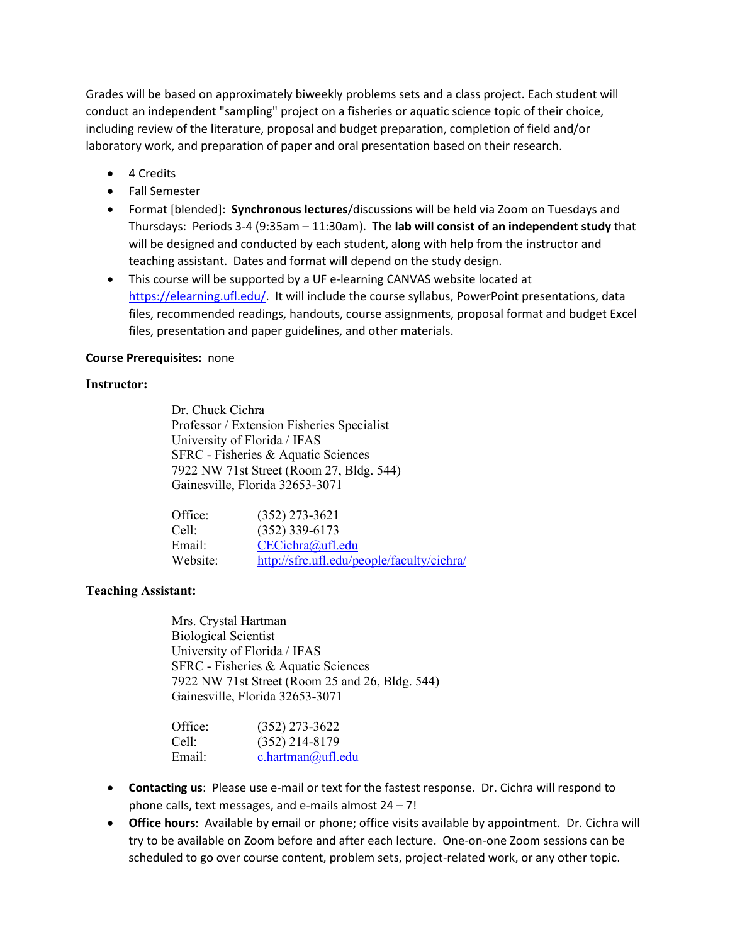Grades will be based on approximately biweekly problems sets and a class project. Each student will conduct an independent "sampling" project on a fisheries or aquatic science topic of their choice, including review of the literature, proposal and budget preparation, completion of field and/or laboratory work, and preparation of paper and oral presentation based on their research.

- 4 Credits
- Fall Semester
- Format [blended]: **Synchronous lectures**/discussions will be held via Zoom on Tuesdays and Thursdays: Periods 3-4 (9:35am – 11:30am). The **lab will consist of an independent study** that will be designed and conducted by each student, along with help from the instructor and teaching assistant. Dates and format will depend on the study design.
- This course will be supported by a UF e-learning CANVAS website located at [https://elearning.ufl.edu/.](https://elearning.ufl.edu/) It will include the course syllabus, PowerPoint presentations, data files, recommended readings, handouts, course assignments, proposal format and budget Excel files, presentation and paper guidelines, and other materials.

#### **Course Prerequisites:** none

#### **Instructor:**

Dr. Chuck Cichra Professor / Extension Fisheries Specialist University of Florida / IFAS SFRC - Fisheries & Aquatic Sciences 7922 NW 71st Street (Room 27, Bldg. 544) Gainesville, Florida 32653-3071

| Office:  | $(352)$ 273-3621                           |
|----------|--------------------------------------------|
| Cell:    | $(352)$ 339-6173                           |
| Email:   | CECichra@ufl.edu                           |
| Website: | http://sfrc.ufl.edu/people/faculty/cichra/ |

#### **Teaching Assistant:**

Mrs. Crystal Hartman Biological Scientist University of Florida / IFAS SFRC - Fisheries & Aquatic Sciences 7922 NW 71st Street (Room 25 and 26, Bldg. 544) Gainesville, Florida 32653-3071

| Office: | $(352)$ 273-3622  |
|---------|-------------------|
| Cell:   | $(352)$ 214-8179  |
| Email:  | c.hartman@ufl.edu |

- **Contacting us**: Please use e-mail or text for the fastest response. Dr. Cichra will respond to phone calls, text messages, and e-mails almost 24 – 7!
- **Office hours**: Available by email or phone; office visits available by appointment. Dr. Cichra will try to be available on Zoom before and after each lecture. One-on-one Zoom sessions can be scheduled to go over course content, problem sets, project-related work, or any other topic.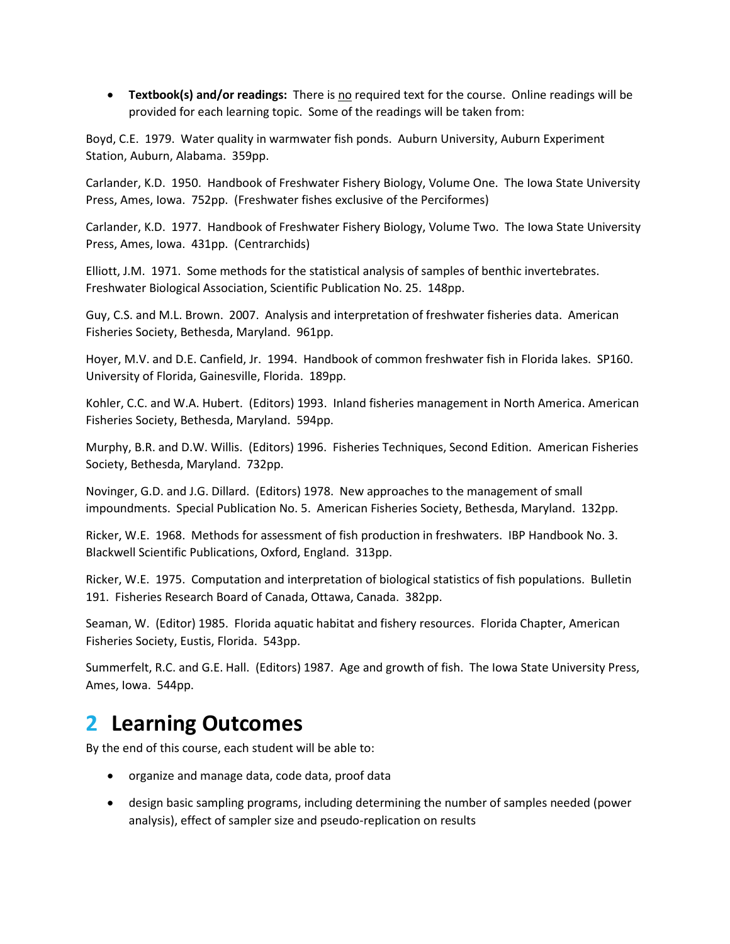• **Textbook(s) and/or readings:** There is no required text for the course. Online readings will be provided for each learning topic. Some of the readings will be taken from:

Boyd, C.E. 1979. Water quality in warmwater fish ponds. Auburn University, Auburn Experiment Station, Auburn, Alabama. 359pp.

Carlander, K.D. 1950. Handbook of Freshwater Fishery Biology, Volume One. The Iowa State University Press, Ames, Iowa. 752pp. (Freshwater fishes exclusive of the Perciformes)

Carlander, K.D. 1977. Handbook of Freshwater Fishery Biology, Volume Two. The Iowa State University Press, Ames, Iowa. 431pp. (Centrarchids)

Elliott, J.M. 1971. Some methods for the statistical analysis of samples of benthic invertebrates. Freshwater Biological Association, Scientific Publication No. 25. 148pp.

Guy, C.S. and M.L. Brown. 2007. Analysis and interpretation of freshwater fisheries data. American Fisheries Society, Bethesda, Maryland. 961pp.

Hoyer, M.V. and D.E. Canfield, Jr. 1994. Handbook of common freshwater fish in Florida lakes. SP160. University of Florida, Gainesville, Florida. 189pp.

Kohler, C.C. and W.A. Hubert. (Editors) 1993. Inland fisheries management in North America. American Fisheries Society, Bethesda, Maryland. 594pp.

Murphy, B.R. and D.W. Willis. (Editors) 1996. Fisheries Techniques, Second Edition. American Fisheries Society, Bethesda, Maryland. 732pp.

Novinger, G.D. and J.G. Dillard. (Editors) 1978. New approaches to the management of small impoundments. Special Publication No. 5. American Fisheries Society, Bethesda, Maryland. 132pp.

Ricker, W.E. 1968. Methods for assessment of fish production in freshwaters. IBP Handbook No. 3. Blackwell Scientific Publications, Oxford, England. 313pp.

Ricker, W.E. 1975. Computation and interpretation of biological statistics of fish populations. Bulletin 191. Fisheries Research Board of Canada, Ottawa, Canada. 382pp.

Seaman, W. (Editor) 1985. Florida aquatic habitat and fishery resources. Florida Chapter, American Fisheries Society, Eustis, Florida. 543pp.

Summerfelt, R.C. and G.E. Hall. (Editors) 1987. Age and growth of fish. The Iowa State University Press, Ames, Iowa. 544pp.

### **2 Learning Outcomes**

By the end of this course, each student will be able to:

- organize and manage data, code data, proof data
- design basic sampling programs, including determining the number of samples needed (power analysis), effect of sampler size and pseudo-replication on results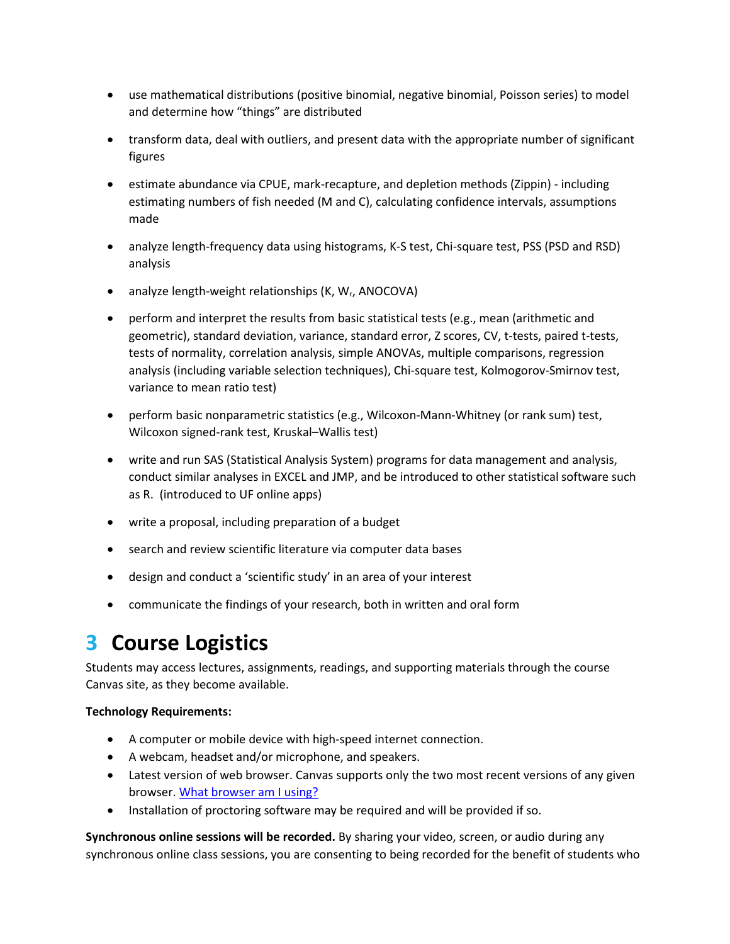- use mathematical distributions (positive binomial, negative binomial, Poisson series) to model and determine how "things" are distributed
- transform data, deal with outliers, and present data with the appropriate number of significant figures
- estimate abundance via CPUE, mark-recapture, and depletion methods (Zippin) including estimating numbers of fish needed (M and C), calculating confidence intervals, assumptions made
- analyze length-frequency data using histograms, K-S test, Chi-square test, PSS (PSD and RSD) analysis
- analyze length-weight relationships (K, W<sub>r</sub>, ANOCOVA)
- perform and interpret the results from basic statistical tests (e.g., mean (arithmetic and geometric), standard deviation, variance, standard error, Z scores, CV, t-tests, paired t-tests, tests of normality, correlation analysis, simple ANOVAs, multiple comparisons, regression analysis (including variable selection techniques), Chi-square test, Kolmogorov-Smirnov test, variance to mean ratio test)
- perform basic nonparametric statistics (e.g., Wilcoxon-Mann-Whitney (or rank sum) test, Wilcoxon signed-rank test, Kruskal–Wallis test)
- write and run SAS (Statistical Analysis System) programs for data management and analysis, conduct similar analyses in EXCEL and JMP, and be introduced to other statistical software such as R. (introduced to UF online apps)
- write a proposal, including preparation of a budget
- search and review scientific literature via computer data bases
- design and conduct a 'scientific study' in an area of your interest
- communicate the findings of your research, both in written and oral form

# **3 Course Logistics**

Students may access lectures, assignments, readings, and supporting materials through the course Canvas site, as they become available.

#### **Technology Requirements:**

- A computer or mobile device with high-speed internet connection.
- A webcam, headset and/or microphone, and speakers.
- Latest version of web browser. Canvas supports only the two most recent versions of any given browser. [What browser am I using?](http://whatbrowser.org/)
- Installation of proctoring software may be required and will be provided if so.

**Synchronous online sessions will be recorded.** By sharing your video, screen, or audio during any synchronous online class sessions, you are consenting to being recorded for the benefit of students who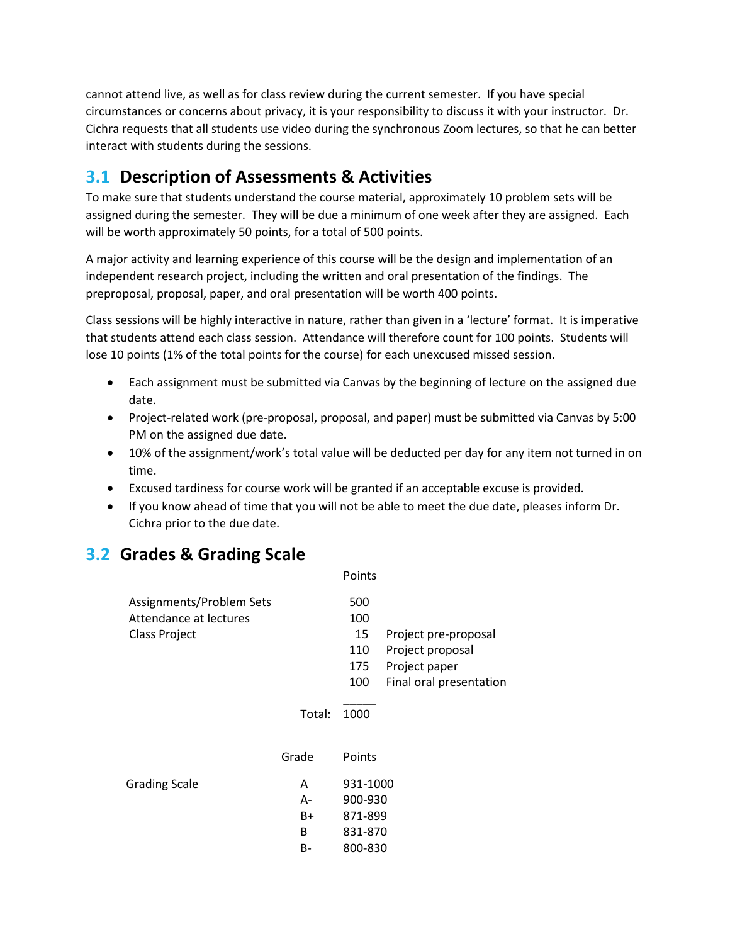cannot attend live, as well as for class review during the current semester. If you have special circumstances or concerns about privacy, it is your responsibility to discuss it with your instructor. Dr. Cichra requests that all students use video during the synchronous Zoom lectures, so that he can better interact with students during the sessions.

### **3.1 Description of Assessments & Activities**

To make sure that students understand the course material, approximately 10 problem sets will be assigned during the semester. They will be due a minimum of one week after they are assigned. Each will be worth approximately 50 points, for a total of 500 points.

A major activity and learning experience of this course will be the design and implementation of an independent research project, including the written and oral presentation of the findings. The preproposal, proposal, paper, and oral presentation will be worth 400 points.

Class sessions will be highly interactive in nature, rather than given in a 'lecture' format. It is imperative that students attend each class session. Attendance will therefore count for 100 points. Students will lose 10 points (1% of the total points for the course) for each unexcused missed session.

- Each assignment must be submitted via Canvas by the beginning of lecture on the assigned due date.
- Project-related work (pre-proposal, proposal, and paper) must be submitted via Canvas by 5:00 PM on the assigned due date.
- 10% of the assignment/work's total value will be deducted per day for any item not turned in on time.
- Excused tardiness for course work will be granted if an acceptable excuse is provided.
- If you know ahead of time that you will not be able to meet the due date, pleases inform Dr. Cichra prior to the due date.

### **3.2 Grades & Grading Scale**

|        | Points   |                         |
|--------|----------|-------------------------|
|        | 500      |                         |
|        | 100      |                         |
|        | 15       | Project pre-proposal    |
|        | 110      | Project proposal        |
|        | 175      | Project paper           |
|        | 100      | Final oral presentation |
| Total: | 1000     |                         |
| Grade  | Points   |                         |
| A      | 931-1000 |                         |
| А-     | 900-930  |                         |
| B+     | 871-899  |                         |
| B      | 831-870  |                         |
| B-     | 800-830  |                         |
|        |          |                         |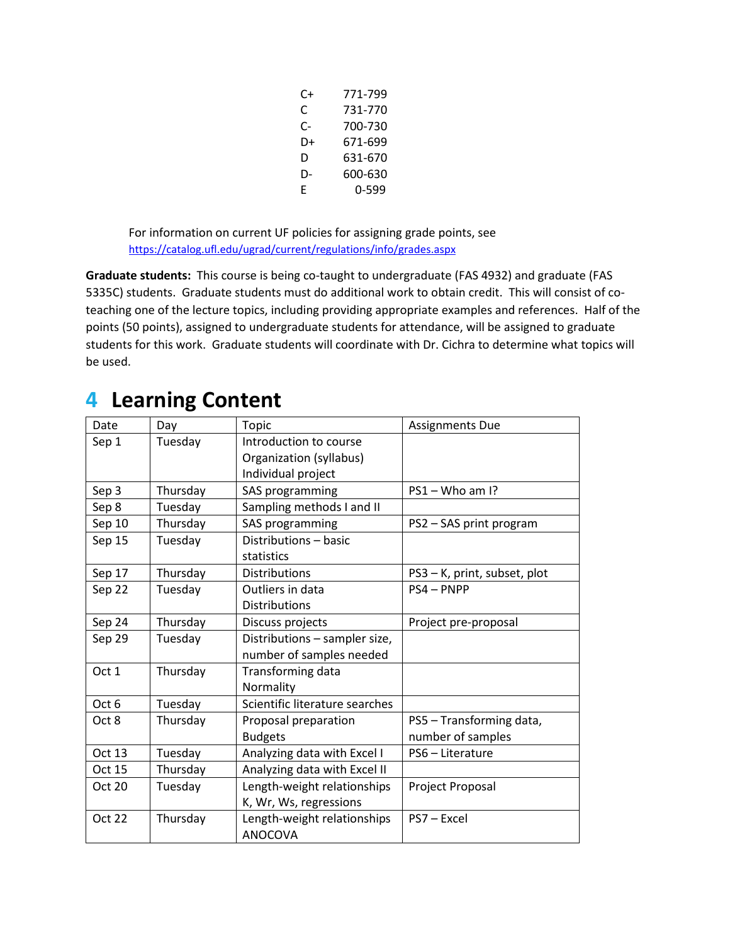| C+ | 771-799 |
|----|---------|
| C  | 731-770 |
| C- | 700-730 |
| D+ | 671-699 |
| D  | 631-670 |
| D- | 600-630 |
| F  | 0-599   |

For information on current UF policies for assigning grade points, see <https://catalog.ufl.edu/ugrad/current/regulations/info/grades.aspx>

**Graduate students:** This course is being co-taught to undergraduate (FAS 4932) and graduate (FAS 5335C) students. Graduate students must do additional work to obtain credit. This will consist of coteaching one of the lecture topics, including providing appropriate examples and references. Half of the points (50 points), assigned to undergraduate students for attendance, will be assigned to graduate students for this work. Graduate students will coordinate with Dr. Cichra to determine what topics will be used.

### **4 Learning Content**

| Date   | Day      | Topic                          | <b>Assignments Due</b>       |
|--------|----------|--------------------------------|------------------------------|
| Sep 1  | Tuesday  | Introduction to course         |                              |
|        |          | Organization (syllabus)        |                              |
|        |          | Individual project             |                              |
| Sep 3  | Thursday | SAS programming                | PS1-Who am I?                |
| Sep 8  | Tuesday  | Sampling methods I and II      |                              |
| Sep 10 | Thursday | SAS programming                | PS2 - SAS print program      |
| Sep 15 | Tuesday  | Distributions - basic          |                              |
|        |          | statistics                     |                              |
| Sep 17 | Thursday | <b>Distributions</b>           | PS3 - K, print, subset, plot |
| Sep 22 | Tuesday  | Outliers in data               | PS4-PNPP                     |
|        |          | Distributions                  |                              |
| Sep 24 | Thursday | Discuss projects               | Project pre-proposal         |
| Sep 29 | Tuesday  | Distributions - sampler size,  |                              |
|        |          | number of samples needed       |                              |
| Oct 1  | Thursday | Transforming data              |                              |
|        |          | Normality                      |                              |
| Oct 6  | Tuesday  | Scientific literature searches |                              |
| Oct 8  | Thursday | Proposal preparation           | PS5 - Transforming data,     |
|        |          | <b>Budgets</b>                 | number of samples            |
| Oct 13 | Tuesday  | Analyzing data with Excel I    | PS6 - Literature             |
| Oct 15 | Thursday | Analyzing data with Excel II   |                              |
| Oct 20 | Tuesday  | Length-weight relationships    | Project Proposal             |
|        |          | K, Wr, Ws, regressions         |                              |
| Oct 22 | Thursday | Length-weight relationships    | PS7 - Excel                  |
|        |          | ANOCOVA                        |                              |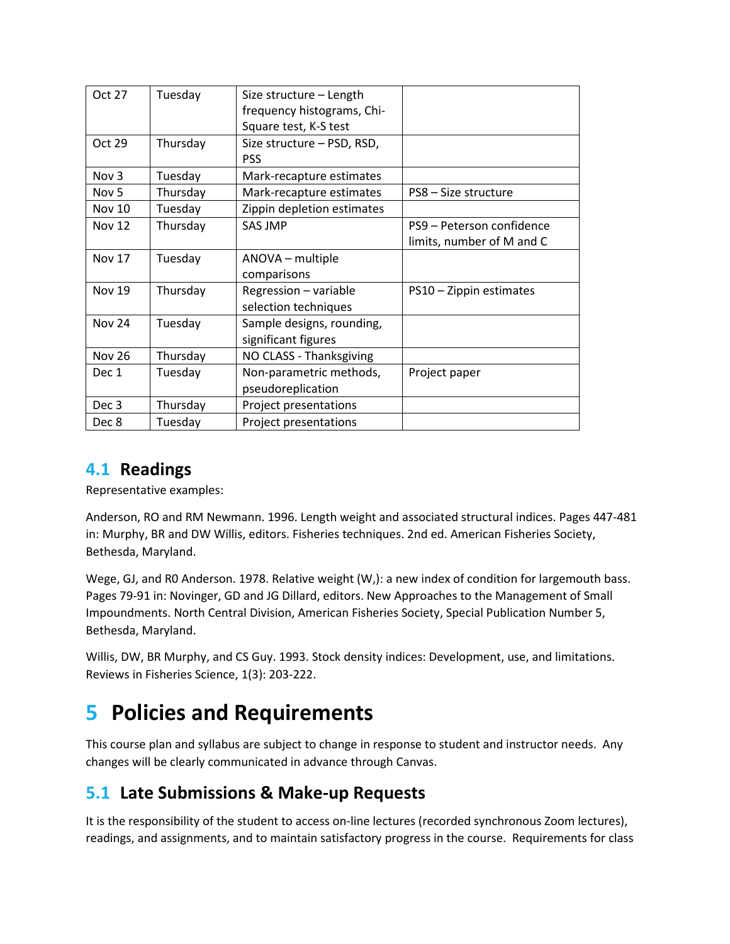| Oct 27           | Tuesday  | Size structure - Length    |                           |
|------------------|----------|----------------------------|---------------------------|
|                  |          | frequency histograms, Chi- |                           |
|                  |          | Square test, K-S test      |                           |
| Oct 29           | Thursday | Size structure - PSD, RSD, |                           |
|                  |          | <b>PSS</b>                 |                           |
| Nov 3            | Tuesday  | Mark-recapture estimates   |                           |
| Nov <sub>5</sub> | Thursday | Mark-recapture estimates   | PS8 - Size structure      |
| <b>Nov 10</b>    | Tuesday  | Zippin depletion estimates |                           |
| <b>Nov 12</b>    | Thursday | <b>SAS JMP</b>             | PS9 – Peterson confidence |
|                  |          |                            | limits, number of M and C |
| Nov 17           | Tuesday  | ANOVA – multiple           |                           |
|                  |          | comparisons                |                           |
| <b>Nov 19</b>    | Thursday | Regression - variable      | PS10 - Zippin estimates   |
|                  |          | selection techniques       |                           |
| <b>Nov 24</b>    | Tuesday  | Sample designs, rounding,  |                           |
|                  |          | significant figures        |                           |
| <b>Nov 26</b>    | Thursday | NO CLASS - Thanksgiving    |                           |
| Dec 1            | Tuesday  | Non-parametric methods,    | Project paper             |
|                  |          | pseudoreplication          |                           |
| Dec <sub>3</sub> | Thursday | Project presentations      |                           |
| Dec 8            | Tuesday  | Project presentations      |                           |

#### **4.1 Readings**

Representative examples:

Anderson, RO and RM Newmann. 1996. Length weight and associated structural indices. Pages 447-481 in: Murphy, BR and DW Willis, editors. Fisheries techniques. 2nd ed. American Fisheries Society, Bethesda, Maryland.

Wege, GJ, and R0 Anderson. 1978. Relative weight (W,): a new index of condition for largemouth bass. Pages 79-91 in: Novinger, GD and JG Dillard, editors. New Approaches to the Management of Small Impoundments. North Central Division, American Fisheries Society, Special Publication Number 5, Bethesda, Maryland.

Willis, DW, BR Murphy, and CS Guy. 1993. Stock density indices: Development, use, and limitations. Reviews in Fisheries Science, 1(3): 203-222.

## **5 Policies and Requirements**

This course plan and syllabus are subject to change in response to student and instructor needs. Any changes will be clearly communicated in advance through Canvas.

### **5.1 Late Submissions & Make-up Requests**

It is the responsibility of the student to access on-line lectures (recorded synchronous Zoom lectures), readings, and assignments, and to maintain satisfactory progress in the course. Requirements for class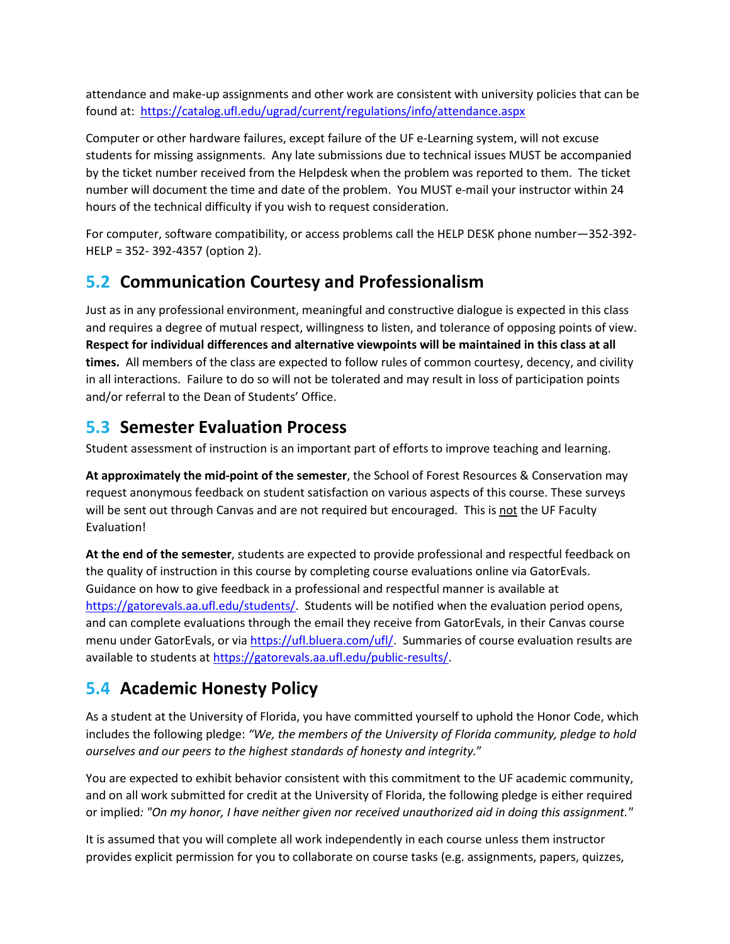attendance and make-up assignments and other work are consistent with university policies that can be found at: <https://catalog.ufl.edu/ugrad/current/regulations/info/attendance.aspx>

Computer or other hardware failures, except failure of the UF e-Learning system, will not excuse students for missing assignments. Any late submissions due to technical issues MUST be accompanied by the ticket number received from the Helpdesk when the problem was reported to them. The ticket number will document the time and date of the problem. You MUST e-mail your instructor within 24 hours of the technical difficulty if you wish to request consideration.

For computer, software compatibility, or access problems call the HELP DESK phone number—352-392- HELP = 352- 392-4357 (option 2).

#### **5.2 Communication Courtesy and Professionalism**

Just as in any professional environment, meaningful and constructive dialogue is expected in this class and requires a degree of mutual respect, willingness to listen, and tolerance of opposing points of view. **Respect for individual differences and alternative viewpoints will be maintained in this class at all times.** All members of the class are expected to follow rules of common courtesy, decency, and civility in all interactions. Failure to do so will not be tolerated and may result in loss of participation points and/or referral to the Dean of Students' Office.

#### **5.3 Semester Evaluation Process**

Student assessment of instruction is an important part of efforts to improve teaching and learning.

**At approximately the mid-point of the semester**, the School of Forest Resources & Conservation may request anonymous feedback on student satisfaction on various aspects of this course. These surveys will be sent out through Canvas and are not required but encouraged. This is not the UF Faculty Evaluation!

**At the end of the semester**, students are expected to provide professional and respectful feedback on the quality of instruction in this course by completing course evaluations online via GatorEvals. Guidance on how to give feedback in a professional and respectful manner is available at [https://gatorevals.aa.ufl.edu/students/.](https://gatorevals.aa.ufl.edu/students/) Students will be notified when the evaluation period opens, and can complete evaluations through the email they receive from GatorEvals, in their Canvas course menu under GatorEvals, or via [https://ufl.bluera.com/ufl/.](https://ufl.bluera.com/ufl/) Summaries of course evaluation results are available to students at [https://gatorevals.aa.ufl.edu/public-results/.](https://gatorevals.aa.ufl.edu/public-results/)

### **5.4 Academic Honesty Policy**

As a student at the University of Florida, you have committed yourself to uphold the Honor Code, which includes the following pledge: *"We, the members of the University of Florida community, pledge to hold ourselves and our peers to the highest standards of honesty and integrity.*"

You are expected to exhibit behavior consistent with this commitment to the UF academic community, and on all work submitted for credit at the University of Florida, the following pledge is either required or implied*: "On my honor, I have neither given nor received unauthorized aid in doing this assignment."*

It is assumed that you will complete all work independently in each course unless them instructor provides explicit permission for you to collaborate on course tasks (e.g. assignments, papers, quizzes,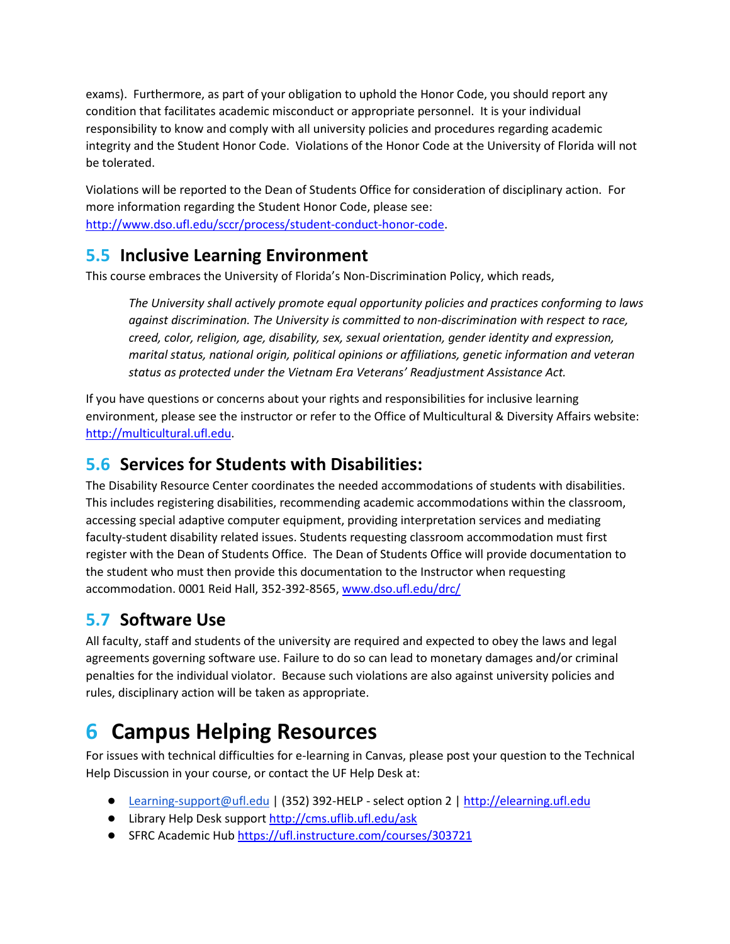exams). Furthermore, as part of your obligation to uphold the Honor Code, you should report any condition that facilitates academic misconduct or appropriate personnel. It is your individual responsibility to know and comply with all university policies and procedures regarding academic integrity and the Student Honor Code. Violations of the Honor Code at the University of Florida will not be tolerated.

Violations will be reported to the Dean of Students Office for consideration of disciplinary action. For more information regarding the Student Honor Code, please see: [http://www.dso.ufl.edu/sccr/process/student-conduct-honor-code.](http://www.dso.ufl.edu/sccr/process/student-conduct-honor-code)

#### **5.5 Inclusive Learning Environment**

This course embraces the University of Florida's Non-Discrimination Policy, which reads,

*The University shall actively promote equal opportunity policies and practices conforming to laws against discrimination. The University is committed to non-discrimination with respect to race, creed, color, religion, age, disability, sex, sexual orientation, gender identity and expression, marital status, national origin, political opinions or affiliations, genetic information and veteran status as protected under the Vietnam Era Veterans' Readjustment Assistance Act.*

If you have questions or concerns about your rights and responsibilities for inclusive learning environment, please see the instructor or refer to the Office of Multicultural & Diversity Affairs website: [http://multicultural.ufl.edu.](http://multicultural.ufl.edu/)

### **5.6 Services for Students with Disabilities:**

The Disability Resource Center coordinates the needed accommodations of students with disabilities. This includes registering disabilities, recommending academic accommodations within the classroom, accessing special adaptive computer equipment, providing interpretation services and mediating faculty-student disability related issues. Students requesting classroom accommodation must first register with the Dean of Students Office. The Dean of Students Office will provide documentation to the student who must then provide this documentation to the Instructor when requesting accommodation. 0001 Reid Hall, 352-392-8565, www.dso.ufl.edu/drc/

### **5.7 Software Use**

All faculty, staff and students of the university are required and expected to obey the laws and legal agreements governing software use. Failure to do so can lead to monetary damages and/or criminal penalties for the individual violator. Because such violations are also against university policies and rules, disciplinary action will be taken as appropriate.

# **6 Campus Helping Resources**

For issues with technical difficulties for e-learning in Canvas, please post your question to the Technical Help Discussion in your course, or contact the UF Help Desk at:

- [Learning-support@ufl.edu](mailto:Learning-support@ufl.edu) | (352) 392-HELP select option 2 | [http://elearning.ufl.edu](http://elearning.ufl.edu/)
- Library Help Desk support<http://cms.uflib.ufl.edu/ask>
- SFRC Academic Hub<https://ufl.instructure.com/courses/303721>